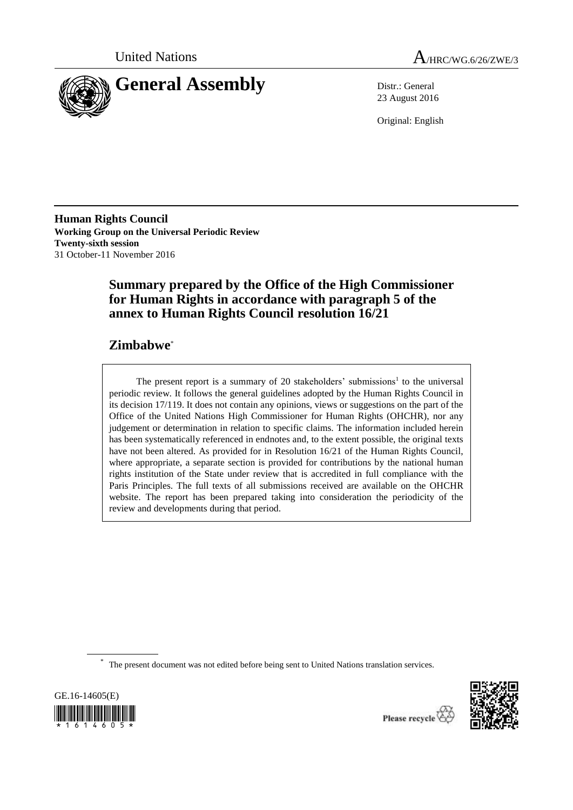



23 August 2016

Original: English

**Human Rights Council Working Group on the Universal Periodic Review Twenty-sixth session** 31 October-11 November 2016

# **Summary prepared by the Office of the High Commissioner for Human Rights in accordance with paragraph 5 of the annex to Human Rights Council resolution 16/21**

# **Zimbabwe**\*

The present report is a summary of 20 stakeholders' submissions<sup>1</sup> to the universal periodic review. It follows the general guidelines adopted by the Human Rights Council in its decision 17/119. It does not contain any opinions, views or suggestions on the part of the Office of the United Nations High Commissioner for Human Rights (OHCHR), nor any judgement or determination in relation to specific claims. The information included herein has been systematically referenced in endnotes and, to the extent possible, the original texts have not been altered. As provided for in Resolution 16/21 of the Human Rights Council, where appropriate, a separate section is provided for contributions by the national human rights institution of the State under review that is accredited in full compliance with the Paris Principles. The full texts of all submissions received are available on the OHCHR website. The report has been prepared taking into consideration the periodicity of the review and developments during that period.

\* The present document was not edited before being sent to United Nations translation services.



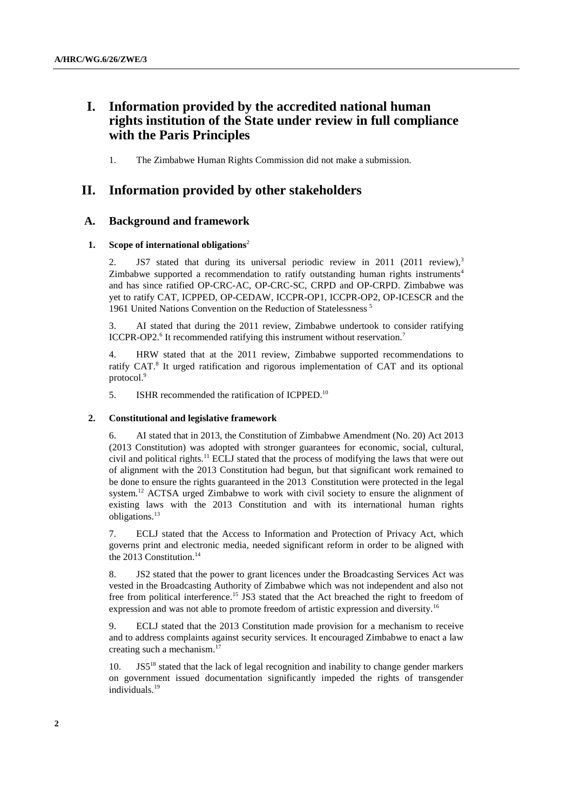# **I. Information provided by the accredited national human rights institution of the State under review in full compliance with the Paris Principles**

1. The Zimbabwe Human Rights Commission did not make a submission.

## **II. Information provided by other stakeholders**

## **A. Background and framework**

## **1. Scope of international obligations**<sup>2</sup>

2. JS7 stated that during its universal periodic review in 2011 (2011 review),<sup>3</sup> Zimbabwe supported a recommendation to ratify outstanding human rights instruments<sup>4</sup> and has since ratified OP-CRC-AC, OP-CRC-SC, CRPD and OP-CRPD. Zimbabwe was yet to ratify CAT, ICPPED, OP-CEDAW, ICCPR-OP1, ICCPR-OP2, OP-ICESCR and the 1961 United Nations Convention on the Reduction of Statelessness <sup>5</sup>

3. AI stated that during the 2011 review, Zimbabwe undertook to consider ratifying ICCPR-OP2.<sup>6</sup> It recommended ratifying this instrument without reservation.<sup>7</sup>

4. HRW stated that at the 2011 review, Zimbabwe supported recommendations to ratify CAT. 8 It urged ratification and rigorous implementation of CAT and its optional protocol.<sup>9</sup>

5. ISHR recommended the ratification of ICPPED.<sup>10</sup>

#### **2. Constitutional and legislative framework**

6. AI stated that in 2013, the Constitution of Zimbabwe Amendment (No. 20) Act 2013 (2013 Constitution) was adopted with stronger guarantees for economic, social, cultural, civil and political rights.<sup>11</sup> ECLJ stated that the process of modifying the laws that were out of alignment with the 2013 Constitution had begun, but that significant work remained to be done to ensure the rights guaranteed in the 2013 Constitution were protected in the legal system.<sup>12</sup> ACTSA urged Zimbabwe to work with civil society to ensure the alignment of existing laws with the 2013 Constitution and with its international human rights obligations.<sup>13</sup>

7. ECLJ stated that the Access to Information and Protection of Privacy Act, which governs print and electronic media, needed significant reform in order to be aligned with the 2013 Constitution. 14

8. JS2 stated that the power to grant licences under the Broadcasting Services Act was vested in the Broadcasting Authority of Zimbabwe which was not independent and also not free from political interference.<sup>15</sup> JS3 stated that the Act breached the right to freedom of expression and was not able to promote freedom of artistic expression and diversity.<sup>16</sup>

9. ECLJ stated that the 2013 Constitution made provision for a mechanism to receive and to address complaints against security services. It encouraged Zimbabwe to enact a law creating such a mechanism. 17

 $JSS<sup>18</sup>$  stated that the lack of legal recognition and inability to change gender markers on government issued documentation significantly impeded the rights of transgender individuals.<sup>19</sup>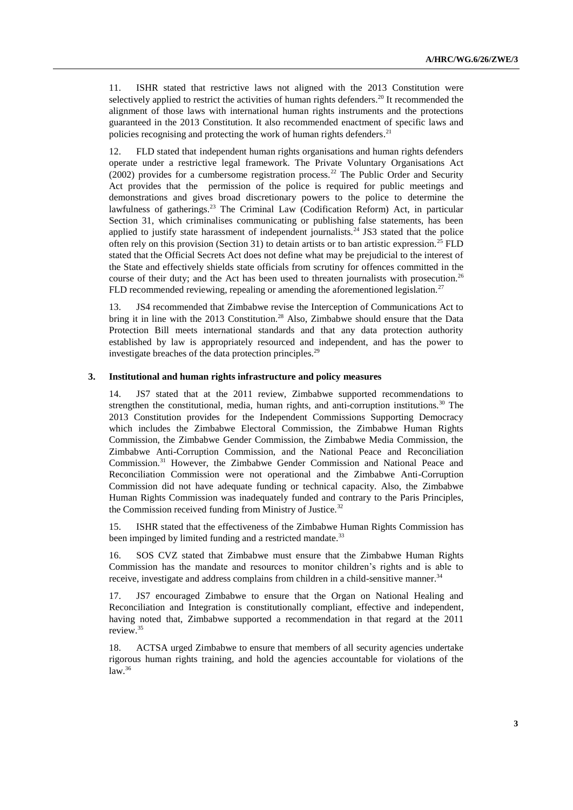11. ISHR stated that restrictive laws not aligned with the 2013 Constitution were selectively applied to restrict the activities of human rights defenders.<sup>20</sup> It recommended the alignment of those laws with international human rights instruments and the protections guaranteed in the 2013 Constitution. It also recommended enactment of specific laws and policies recognising and protecting the work of human rights defenders.<sup>21</sup>

12. FLD stated that independent human rights organisations and human rights defenders operate under a restrictive legal framework. The Private Voluntary Organisations Act  $(2002)$  provides for a cumbersome registration process.<sup>22</sup> The Public Order and Security Act provides that the permission of the police is required for public meetings and demonstrations and gives broad discretionary powers to the police to determine the lawfulness of gatherings.<sup>23</sup> The Criminal Law (Codification Reform) Act, in particular Section 31, which criminalises communicating or publishing false statements, has been applied to justify state harassment of independent journalists.<sup>24</sup> JS3 stated that the police often rely on this provision (Section 31) to detain artists or to ban artistic expression.<sup>25</sup> FLD stated that the Official Secrets Act does not define what may be prejudicial to the interest of the State and effectively shields state officials from scrutiny for offences committed in the course of their duty; and the Act has been used to threaten journalists with prosecution.<sup>26</sup> FLD recommended reviewing, repealing or amending the aforementioned legislation.<sup>27</sup>

13. JS4 recommended that Zimbabwe revise the Interception of Communications Act to bring it in line with the 2013 Constitution.<sup>28</sup> Also, Zimbabwe should ensure that the Data Protection Bill meets international standards and that any data protection authority established by law is appropriately resourced and independent, and has the power to investigate breaches of the data protection principles.<sup>29</sup>

## **3. Institutional and human rights infrastructure and policy measures**

14. JS7 stated that at the 2011 review, Zimbabwe supported recommendations to strengthen the constitutional, media, human rights, and anti-corruption institutions.<sup>30</sup> The 2013 Constitution provides for the Independent Commissions Supporting Democracy which includes the Zimbabwe Electoral Commission, the Zimbabwe Human Rights Commission, the Zimbabwe Gender Commission, the Zimbabwe Media Commission, the Zimbabwe Anti-Corruption Commission, and the National Peace and Reconciliation Commission.<sup>31</sup> However, the Zimbabwe Gender Commission and National Peace and Reconciliation Commission were not operational and the Zimbabwe Anti-Corruption Commission did not have adequate funding or technical capacity. Also, the Zimbabwe Human Rights Commission was inadequately funded and contrary to the Paris Principles, the Commission received funding from Ministry of Justice.<sup>32</sup>

15. ISHR stated that the effectiveness of the Zimbabwe Human Rights Commission has been impinged by limited funding and a restricted mandate.<sup>33</sup>

16. SOS CVZ stated that Zimbabwe must ensure that the Zimbabwe Human Rights Commission has the mandate and resources to monitor children's rights and is able to receive, investigate and address complains from children in a child-sensitive manner.<sup>34</sup>

17. JS7 encouraged Zimbabwe to ensure that the Organ on National Healing and Reconciliation and Integration is constitutionally compliant, effective and independent, having noted that, Zimbabwe supported a recommendation in that regard at the 2011 review. 35

18. ACTSA urged Zimbabwe to ensure that members of all security agencies undertake rigorous human rights training, and hold the agencies accountable for violations of the  $law.<sup>36</sup>$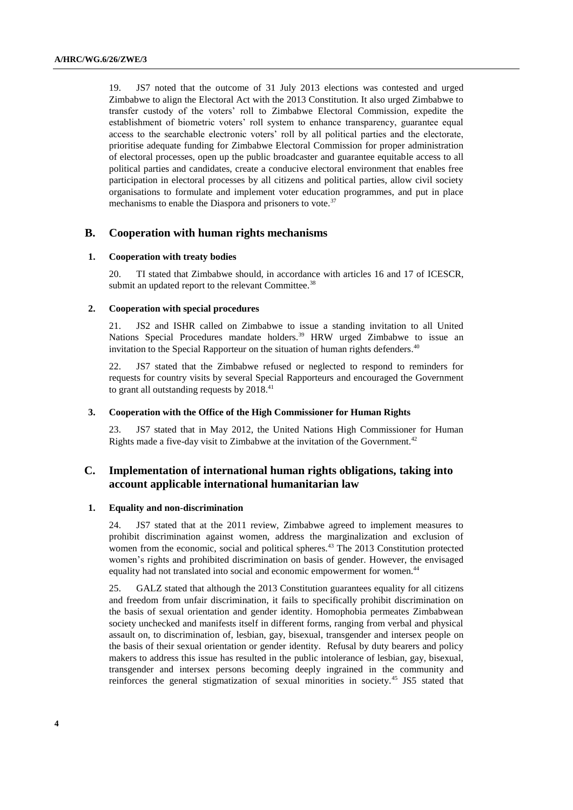19. JS7 noted that the outcome of 31 July 2013 elections was contested and urged Zimbabwe to align the Electoral Act with the 2013 Constitution. It also urged Zimbabwe to transfer custody of the voters' roll to Zimbabwe Electoral Commission, expedite the establishment of biometric voters' roll system to enhance transparency, guarantee equal access to the searchable electronic voters' roll by all political parties and the electorate, prioritise adequate funding for Zimbabwe Electoral Commission for proper administration of electoral processes, open up the public broadcaster and guarantee equitable access to all political parties and candidates, create a conducive electoral environment that enables free participation in electoral processes by all citizens and political parties, allow civil society organisations to formulate and implement voter education programmes, and put in place mechanisms to enable the Diaspora and prisoners to vote.<sup>37</sup>

## **B. Cooperation with human rights mechanisms**

#### **1. Cooperation with treaty bodies**

20. TI stated that Zimbabwe should, in accordance with articles 16 and 17 of ICESCR, submit an updated report to the relevant Committee.<sup>38</sup>

#### **2. Cooperation with special procedures**

21. JS2 and ISHR called on Zimbabwe to issue a standing invitation to all United Nations Special Procedures mandate holders.<sup>39</sup> HRW urged Zimbabwe to issue an invitation to the Special Rapporteur on the situation of human rights defenders. $40$ 

22. JS7 stated that the Zimbabwe refused or neglected to respond to reminders for requests for country visits by several Special Rapporteurs and encouraged the Government to grant all outstanding requests by  $2018<sup>41</sup>$ 

#### **3. Cooperation with the Office of the High Commissioner for Human Rights**

23. JS7 stated that in May 2012, the United Nations High Commissioner for Human Rights made a five-day visit to Zimbabwe at the invitation of the Government.<sup>42</sup>

## **C. Implementation of international human rights obligations, taking into account applicable international humanitarian law**

#### **1. Equality and non-discrimination**

24. JS7 stated that at the 2011 review, Zimbabwe agreed to implement measures to prohibit discrimination against women, address the marginalization and exclusion of women from the economic, social and political spheres.<sup>43</sup> The 2013 Constitution protected women's rights and prohibited discrimination on basis of gender. However, the envisaged equality had not translated into social and economic empowerment for women.<sup>44</sup>

25. GALZ stated that although the 2013 Constitution guarantees equality for all citizens and freedom from unfair discrimination, it fails to specifically prohibit discrimination on the basis of sexual orientation and gender identity. Homophobia permeates Zimbabwean society unchecked and manifests itself in different forms, ranging from verbal and physical assault on, to discrimination of, lesbian, gay, bisexual, transgender and intersex people on the basis of their sexual orientation or gender identity. Refusal by duty bearers and policy makers to address this issue has resulted in the public intolerance of lesbian, gay, bisexual, transgender and intersex persons becoming deeply ingrained in the community and reinforces the general stigmatization of sexual minorities in society.<sup>45</sup> JS5 stated that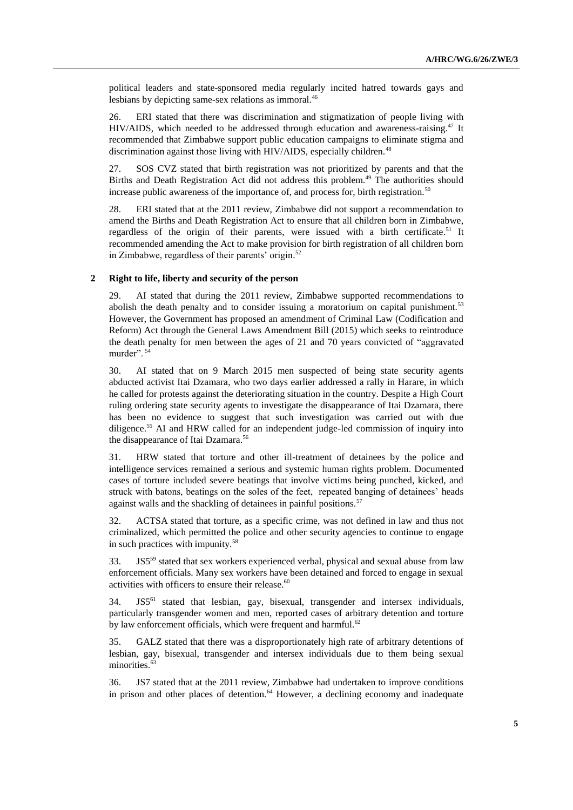political leaders and state-sponsored media regularly incited hatred towards gays and lesbians by depicting same-sex relations as immoral.<sup>46</sup>

26. ERI stated that there was discrimination and stigmatization of people living with HIV/AIDS, which needed to be addressed through education and awareness-raising.<sup>47</sup> It recommended that Zimbabwe support public education campaigns to eliminate stigma and discrimination against those living with HIV/AIDS, especially children.<sup>48</sup>

27. SOS CVZ stated that birth registration was not prioritized by parents and that the Births and Death Registration Act did not address this problem.<sup>49</sup> The authorities should increase public awareness of the importance of, and process for, birth registration.<sup>50</sup>

28. ERI stated that at the 2011 review, Zimbabwe did not support a recommendation to amend the Births and Death Registration Act to ensure that all children born in Zimbabwe, regardless of the origin of their parents, were issued with a birth certificate.<sup>51</sup> It recommended amending the Act to make provision for birth registration of all children born in Zimbabwe, regardless of their parents' origin.<sup>52</sup>

## **2 Right to life, liberty and security of the person**

29. AI stated that during the 2011 review, Zimbabwe supported recommendations to abolish the death penalty and to consider issuing a moratorium on capital punishment.<sup>53</sup> However, the Government has proposed an amendment of Criminal Law (Codification and Reform) Act through the General Laws Amendment Bill (2015) which seeks to reintroduce the death penalty for men between the ages of 21 and 70 years convicted of "aggravated murder".<sup>54</sup>

30. AI stated that on 9 March 2015 men suspected of being state security agents abducted activist Itai Dzamara, who two days earlier addressed a rally in Harare, in which he called for protests against the deteriorating situation in the country. Despite a High Court ruling ordering state security agents to investigate the disappearance of Itai Dzamara, there has been no evidence to suggest that such investigation was carried out with due diligence.<sup>55</sup> AI and HRW called for an independent judge-led commission of inquiry into the disappearance of Itai Dzamara.<sup>56</sup>

31. HRW stated that torture and other ill-treatment of detainees by the police and intelligence services remained a serious and systemic human rights problem. Documented cases of torture included severe beatings that involve victims being punched, kicked, and struck with batons, beatings on the soles of the feet, repeated banging of detainees' heads against walls and the shackling of detainees in painful positions.<sup>57</sup>

32. ACTSA stated that torture, as a specific crime, was not defined in law and thus not criminalized, which permitted the police and other security agencies to continue to engage in such practices with impunity.<sup>58</sup>

 $33.$  JS5<sup>59</sup> stated that sex workers experienced verbal, physical and sexual abuse from law enforcement officials. Many sex workers have been detained and forced to engage in sexual activities with officers to ensure their release.<sup>60</sup>

34. JS5<sup>61</sup> stated that lesbian, gay, bisexual, transgender and intersex individuals, particularly transgender women and men, reported cases of arbitrary detention and torture by law enforcement officials, which were frequent and harmful.<sup>62</sup>

35. GALZ stated that there was a disproportionately high rate of arbitrary detentions of lesbian, gay, bisexual, transgender and intersex individuals due to them being sexual minorities.<sup>63</sup>

36. JS7 stated that at the 2011 review, Zimbabwe had undertaken to improve conditions in prison and other places of detention. $64$  However, a declining economy and inadequate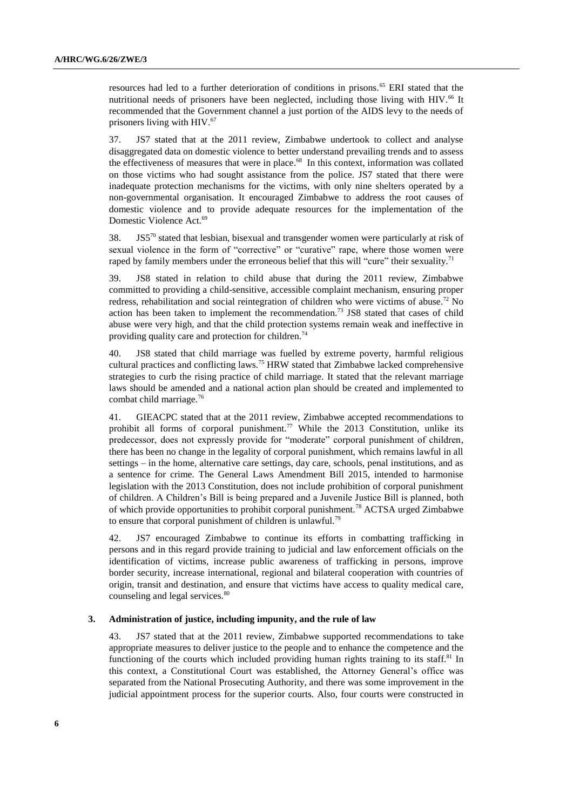resources had led to a further deterioration of conditions in prisons.<sup>65</sup> ERI stated that the nutritional needs of prisoners have been neglected, including those living with HIV.<sup>66</sup> It recommended that the Government channel a just portion of the AIDS levy to the needs of prisoners living with HIV.<sup>67</sup>

37. JS7 stated that at the 2011 review, Zimbabwe undertook to collect and analyse disaggregated data on domestic violence to better understand prevailing trends and to assess the effectiveness of measures that were in place. 68 In this context, information was collated on those victims who had sought assistance from the police. JS7 stated that there were inadequate protection mechanisms for the victims, with only nine shelters operated by a non-governmental organisation. It encouraged Zimbabwe to address the root causes of domestic violence and to provide adequate resources for the implementation of the Domestic Violence Act.<sup>69</sup>

 $38.$  JS5<sup>70</sup> stated that lesbian, bisexual and transgender women were particularly at risk of sexual violence in the form of "corrective" or "curative" rape, where those women were raped by family members under the erroneous belief that this will "cure" their sexuality.<sup>71</sup>

39. JS8 stated in relation to child abuse that during the 2011 review, Zimbabwe committed to providing a child-sensitive, accessible complaint mechanism, ensuring proper redress, rehabilitation and social reintegration of children who were victims of abuse.<sup>72</sup> No action has been taken to implement the recommendation.<sup>73</sup> JS8 stated that cases of child abuse were very high, and that the child protection systems remain weak and ineffective in providing quality care and protection for children.<sup>74</sup>

40. JS8 stated that child marriage was fuelled by extreme poverty, harmful religious cultural practices and conflicting laws.<sup>75</sup> HRW stated that Zimbabwe lacked comprehensive strategies to curb the rising practice of child marriage. It stated that the relevant marriage laws should be amended and a national action plan should be created and implemented to combat child marriage.<sup>76</sup>

41. GIEACPC stated that at the 2011 review, Zimbabwe accepted recommendations to prohibit all forms of corporal punishment.<sup>77</sup> While the 2013 Constitution, unlike its predecessor, does not expressly provide for "moderate" corporal punishment of children, there has been no change in the legality of corporal punishment, which remains lawful in all settings – in the home, alternative care settings, day care, schools, penal institutions, and as a sentence for crime. The General Laws Amendment Bill 2015, intended to harmonise legislation with the 2013 Constitution, does not include prohibition of corporal punishment of children. A Children's Bill is being prepared and a Juvenile Justice Bill is planned, both of which provide opportunities to prohibit corporal punishment.<sup>78</sup> ACTSA urged Zimbabwe to ensure that corporal punishment of children is unlawful.<sup>79</sup>

42. JS7 encouraged Zimbabwe to continue its efforts in combatting trafficking in persons and in this regard provide training to judicial and law enforcement officials on the identification of victims, increase public awareness of trafficking in persons, improve border security, increase international, regional and bilateral cooperation with countries of origin, transit and destination, and ensure that victims have access to quality medical care, counseling and legal services.<sup>80</sup>

#### **3. Administration of justice, including impunity, and the rule of law**

43. JS7 stated that at the 2011 review, Zimbabwe supported recommendations to take appropriate measures to deliver justice to the people and to enhance the competence and the functioning of the courts which included providing human rights training to its staff.<sup>81</sup> In this context, a Constitutional Court was established, the Attorney General's office was separated from the National Prosecuting Authority, and there was some improvement in the judicial appointment process for the superior courts. Also, four courts were constructed in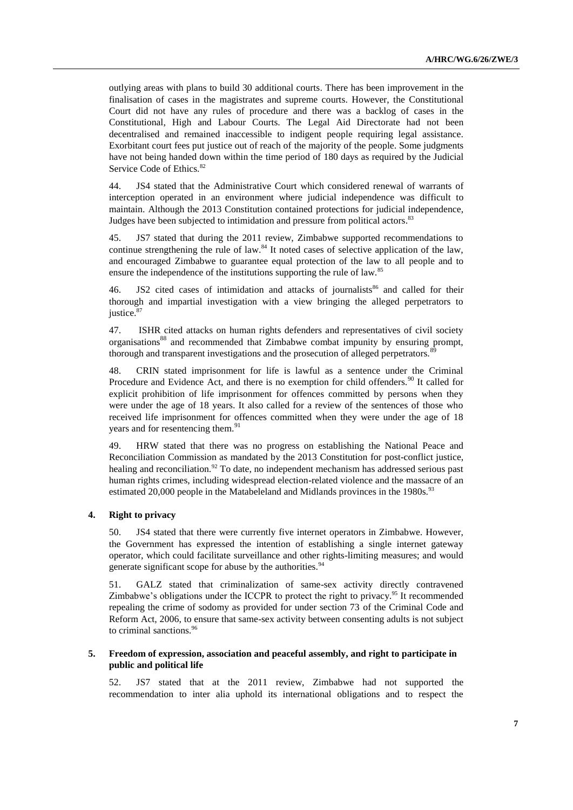outlying areas with plans to build 30 additional courts. There has been improvement in the finalisation of cases in the magistrates and supreme courts. However, the Constitutional Court did not have any rules of procedure and there was a backlog of cases in the Constitutional, High and Labour Courts. The Legal Aid Directorate had not been decentralised and remained inaccessible to indigent people requiring legal assistance. Exorbitant court fees put justice out of reach of the majority of the people. Some judgments have not being handed down within the time period of 180 days as required by the Judicial Service Code of Ethics.<sup>82</sup>

44. JS4 stated that the Administrative Court which considered renewal of warrants of interception operated in an environment where judicial independence was difficult to maintain. Although the 2013 Constitution contained protections for judicial independence, Judges have been subjected to intimidation and pressure from political actors.<sup>83</sup>

45. JS7 stated that during the 2011 review, Zimbabwe supported recommendations to continue strengthening the rule of law.<sup>84</sup> It noted cases of selective application of the law, and encouraged Zimbabwe to guarantee equal protection of the law to all people and to ensure the independence of the institutions supporting the rule of law.<sup>85</sup>

46. JS2 cited cases of intimidation and attacks of journalists<sup>86</sup> and called for their thorough and impartial investigation with a view bringing the alleged perpetrators to justice.<sup>87</sup>

47. ISHR cited attacks on human rights defenders and representatives of civil society organisations<sup>88</sup> and recommended that Zimbabwe combat impunity by ensuring prompt, thorough and transparent investigations and the prosecution of alleged perpetrators.<sup>8</sup>

48. CRIN stated imprisonment for life is lawful as a sentence under the Criminal Procedure and Evidence Act, and there is no exemption for child offenders.<sup>90</sup> It called for explicit prohibition of life imprisonment for offences committed by persons when they were under the age of 18 years. It also called for a review of the sentences of those who received life imprisonment for offences committed when they were under the age of 18 years and for resentencing them.<sup>91</sup>

49. HRW stated that there was no progress on establishing the National Peace and Reconciliation Commission as mandated by the 2013 Constitution for post-conflict justice, healing and reconciliation.<sup>92</sup> To date, no independent mechanism has addressed serious past human rights crimes, including widespread election-related violence and the massacre of an estimated 20,000 people in the Matabeleland and Midlands provinces in the 1980s.<sup>93</sup>

## **4. Right to privacy**

50. JS4 stated that there were currently five internet operators in Zimbabwe. However, the Government has expressed the intention of establishing a single internet gateway operator, which could facilitate surveillance and other rights-limiting measures; and would generate significant scope for abuse by the authorities.<sup>94</sup>

51. GALZ stated that criminalization of same-sex activity directly contravened Zimbabwe's obligations under the ICCPR to protect the right to privacy.<sup>95</sup> It recommended repealing the crime of sodomy as provided for under section 73 of the Criminal Code and Reform Act, 2006, to ensure that same-sex activity between consenting adults is not subject to criminal sanctions.<sup>96</sup>

## **5. Freedom of expression, association and peaceful assembly, and right to participate in public and political life**

52. JS7 stated that at the 2011 review, Zimbabwe had not supported the recommendation to inter alia uphold its international obligations and to respect the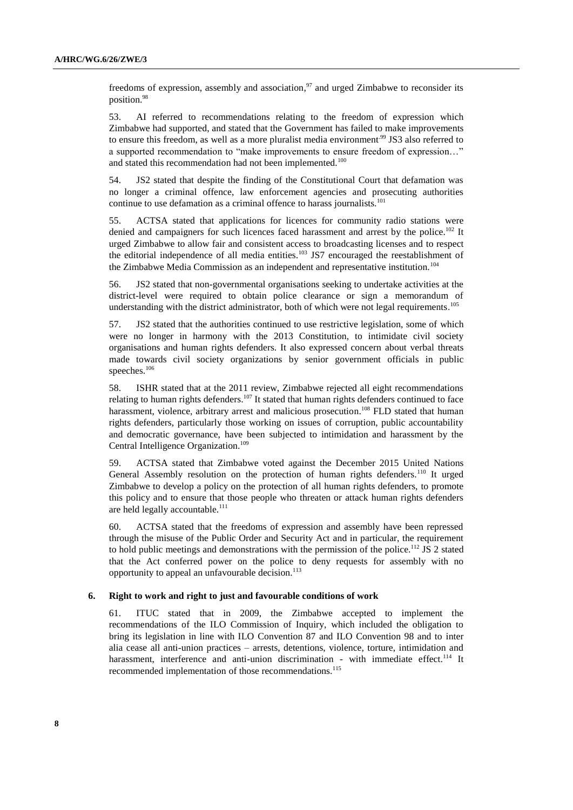freedoms of expression, assembly and association,<sup>97</sup> and urged Zimbabwe to reconsider its position.<sup>98</sup>

53. AI referred to recommendations relating to the freedom of expression which Zimbabwe had supported, and stated that the Government has failed to make improvements to ensure this freedom, as well as a more pluralist media environment.<sup>99</sup> JS3 also referred to a supported recommendation to "make improvements to ensure freedom of expression…" and stated this recommendation had not been implemented.<sup>100</sup>

54. JS2 stated that despite the finding of the Constitutional Court that defamation was no longer a criminal offence, law enforcement agencies and prosecuting authorities continue to use defamation as a criminal offence to harass journalists.<sup>101</sup>

55. ACTSA stated that applications for licences for community radio stations were denied and campaigners for such licences faced harassment and arrest by the police.<sup>102</sup> It urged Zimbabwe to allow fair and consistent access to broadcasting licenses and to respect the editorial independence of all media entities.<sup>103</sup> JS7 encouraged the reestablishment of the Zimbabwe Media Commission as an independent and representative institution.<sup>104</sup>

56. JS2 stated that non-governmental organisations seeking to undertake activities at the district-level were required to obtain police clearance or sign a memorandum of understanding with the district administrator, both of which were not legal requirements.<sup>105</sup>

57. JS2 stated that the authorities continued to use restrictive legislation, some of which were no longer in harmony with the 2013 Constitution, to intimidate civil society organisations and human rights defenders. It also expressed concern about verbal threats made towards civil society organizations by senior government officials in public speeches.<sup>106</sup>

58. ISHR stated that at the 2011 review, Zimbabwe rejected all eight recommendations relating to human rights defenders.<sup>107</sup> It stated that human rights defenders continued to face harassment, violence, arbitrary arrest and malicious prosecution.<sup>108</sup> FLD stated that human rights defenders, particularly those working on issues of corruption, public accountability and democratic governance, have been subjected to intimidation and harassment by the Central Intelligence Organization.<sup>109</sup>

59. ACTSA stated that Zimbabwe voted against the December 2015 United Nations General Assembly resolution on the protection of human rights defenders.<sup>110</sup> It urged Zimbabwe to develop a policy on the protection of all human rights defenders, to promote this policy and to ensure that those people who threaten or attack human rights defenders are held legally accountable.<sup>111</sup>

60. ACTSA stated that the freedoms of expression and assembly have been repressed through the misuse of the Public Order and Security Act and in particular, the requirement to hold public meetings and demonstrations with the permission of the police.<sup>112</sup> JS 2 stated that the Act conferred power on the police to deny requests for assembly with no opportunity to appeal an unfavourable decision.<sup>113</sup>

#### **6. Right to work and right to just and favourable conditions of work**

61. ITUC stated that in 2009, the Zimbabwe accepted to implement the recommendations of the ILO Commission of Inquiry, which included the obligation to bring its legislation in line with ILO Convention 87 and ILO Convention 98 and to inter alia cease all anti-union practices – arrests, detentions, violence, torture, intimidation and harassment, interference and anti-union discrimination - with immediate effect.<sup>114</sup> It recommended implementation of those recommendations.<sup>115</sup>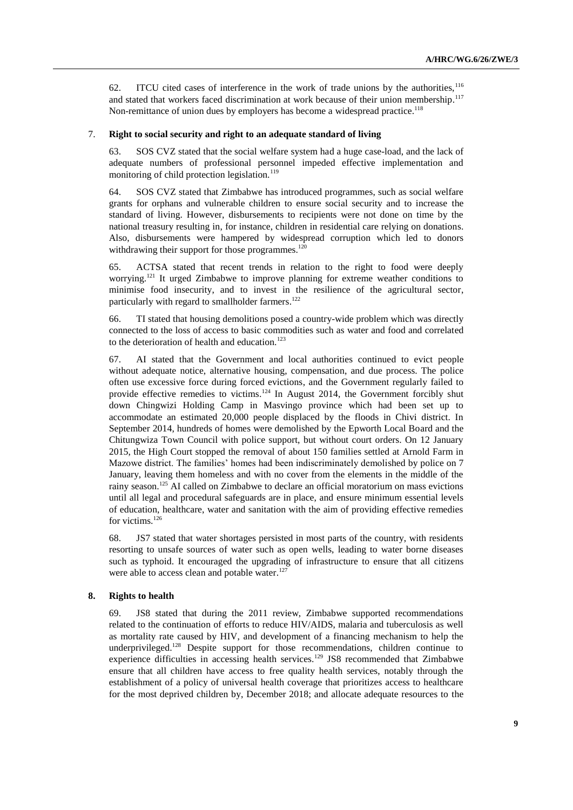62. ITCU cited cases of interference in the work of trade unions by the authorities,  $^{116}$ and stated that workers faced discrimination at work because of their union membership.<sup>117</sup> Non-remittance of union dues by employers has become a widespread practice.<sup>118</sup>

#### 7. **Right to social security and right to an adequate standard of living**

63. SOS CVZ stated that the social welfare system had a huge case-load, and the lack of adequate numbers of professional personnel impeded effective implementation and monitoring of child protection legislation.<sup>119</sup>

64. SOS CVZ stated that Zimbabwe has introduced programmes, such as social welfare grants for orphans and vulnerable children to ensure social security and to increase the standard of living. However, disbursements to recipients were not done on time by the national treasury resulting in, for instance, children in residential care relying on donations. Also, disbursements were hampered by widespread corruption which led to donors withdrawing their support for those programmes.<sup>120</sup>

65. ACTSA stated that recent trends in relation to the right to food were deeply worrying.<sup>121</sup> It urged Zimbabwe to improve planning for extreme weather conditions to minimise food insecurity, and to invest in the resilience of the agricultural sector, particularly with regard to smallholder farmers.<sup>122</sup>

66. TI stated that housing demolitions posed a country-wide problem which was directly connected to the loss of access to basic commodities such as water and food and correlated to the deterioration of health and education.<sup>123</sup>

67. AI stated that the Government and local authorities continued to evict people without adequate notice, alternative housing, compensation, and due process. The police often use excessive force during forced evictions, and the Government regularly failed to provide effective remedies to victims.<sup>124</sup> In August 2014, the Government forcibly shut down Chingwizi Holding Camp in Masvingo province which had been set up to accommodate an estimated 20,000 people displaced by the floods in Chivi district. In September 2014, hundreds of homes were demolished by the Epworth Local Board and the Chitungwiza Town Council with police support, but without court orders. On 12 January 2015, the High Court stopped the removal of about 150 families settled at Arnold Farm in Mazowe district. The families' homes had been indiscriminately demolished by police on 7 January, leaving them homeless and with no cover from the elements in the middle of the rainy season.<sup>125</sup> AI called on Zimbabwe to declare an official moratorium on mass evictions until all legal and procedural safeguards are in place, and ensure minimum essential levels of education, healthcare, water and sanitation with the aim of providing effective remedies for victims.<sup>126</sup>

68. JS7 stated that water shortages persisted in most parts of the country, with residents resorting to unsafe sources of water such as open wells, leading to water borne diseases such as typhoid. It encouraged the upgrading of infrastructure to ensure that all citizens were able to access clean and potable water.<sup>127</sup>

### **8. Rights to health**

69. JS8 stated that during the 2011 review, Zimbabwe supported recommendations related to the continuation of efforts to reduce HIV/AIDS, malaria and tuberculosis as well as mortality rate caused by HIV, and development of a financing mechanism to help the underprivileged.<sup>128</sup> Despite support for those recommendations, children continue to experience difficulties in accessing health services.<sup>129</sup> JS8 recommended that Zimbabwe ensure that all children have access to free quality health services, notably through the establishment of a policy of universal health coverage that prioritizes access to healthcare for the most deprived children by, December 2018; and allocate adequate resources to the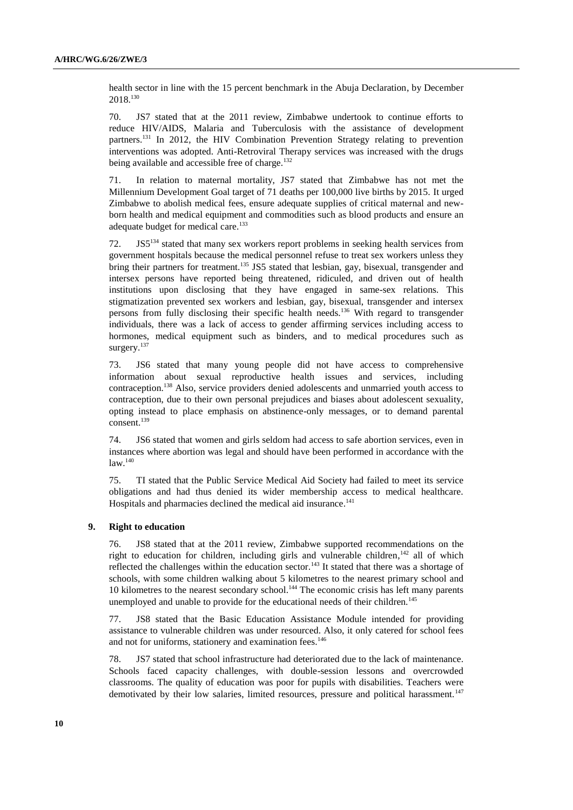health sector in line with the 15 percent benchmark in the Abuja Declaration, by December 2018.<sup>130</sup>

70. JS7 stated that at the 2011 review, Zimbabwe undertook to continue efforts to reduce HIV/AIDS, Malaria and Tuberculosis with the assistance of development partners.<sup>131</sup> In 2012, the HIV Combination Prevention Strategy relating to prevention interventions was adopted. Anti-Retroviral Therapy services was increased with the drugs being available and accessible free of charge.<sup>132</sup>

71. In relation to maternal mortality, JS7 stated that Zimbabwe has not met the Millennium Development Goal target of 71 deaths per 100,000 live births by 2015. It urged Zimbabwe to abolish medical fees, ensure adequate supplies of critical maternal and newborn health and medical equipment and commodities such as blood products and ensure an adequate budget for medical care.<sup>133</sup>

72. JS5<sup>134</sup> stated that many sex workers report problems in seeking health services from government hospitals because the medical personnel refuse to treat sex workers unless they bring their partners for treatment.<sup>135</sup> JS5 stated that lesbian, gay, bisexual, transgender and intersex persons have reported being threatened, ridiculed, and driven out of health institutions upon disclosing that they have engaged in same-sex relations. This stigmatization prevented sex workers and lesbian, gay, bisexual, transgender and intersex persons from fully disclosing their specific health needs.<sup>136</sup> With regard to transgender individuals, there was a lack of access to gender affirming services including access to hormones, medical equipment such as binders, and to medical procedures such as surgery.<sup>137</sup>

73. JS6 stated that many young people did not have access to comprehensive information about sexual reproductive health issues and services, including contraception.<sup>138</sup> Also, service providers denied adolescents and unmarried youth access to contraception, due to their own personal prejudices and biases about adolescent sexuality, opting instead to place emphasis on abstinence-only messages, or to demand parental consent.<sup>139</sup>

74. JS6 stated that women and girls seldom had access to safe abortion services, even in instances where abortion was legal and should have been performed in accordance with the law.<sup>140</sup>

75. TI stated that the Public Service Medical Aid Society had failed to meet its service obligations and had thus denied its wider membership access to medical healthcare. Hospitals and pharmacies declined the medical aid insurance. 141

## **9. Right to education**

76. JS8 stated that at the 2011 review, Zimbabwe supported recommendations on the right to education for children, including girls and vulnerable children,<sup>142</sup> all of which reflected the challenges within the education sector.<sup>143</sup> It stated that there was a shortage of schools, with some children walking about 5 kilometres to the nearest primary school and 10 kilometres to the nearest secondary school.<sup>144</sup> The economic crisis has left many parents unemployed and unable to provide for the educational needs of their children.<sup>145</sup>

77. JS8 stated that the Basic Education Assistance Module intended for providing assistance to vulnerable children was under resourced. Also, it only catered for school fees and not for uniforms, stationery and examination fees.<sup>146</sup>

78. JS7 stated that school infrastructure had deteriorated due to the lack of maintenance. Schools faced capacity challenges, with double-session lessons and overcrowded classrooms. The quality of education was poor for pupils with disabilities. Teachers were demotivated by their low salaries, limited resources, pressure and political harassment.<sup>147</sup>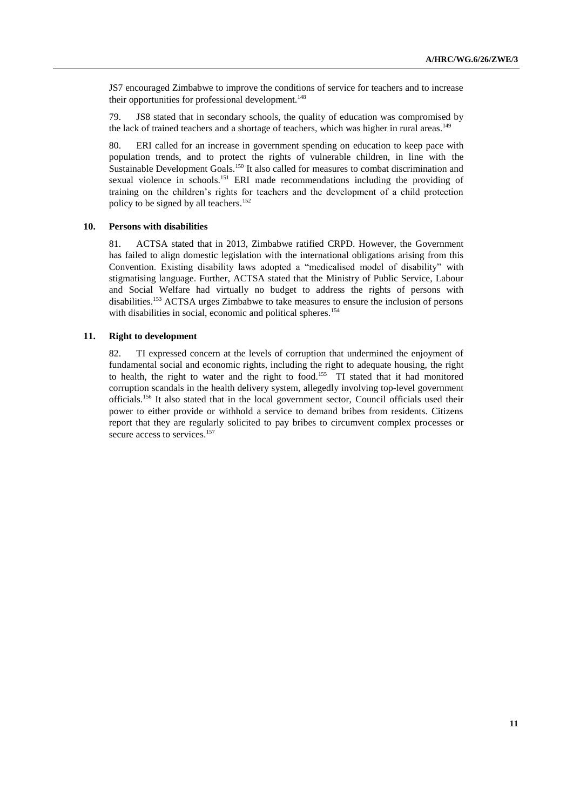JS7 encouraged Zimbabwe to improve the conditions of service for teachers and to increase their opportunities for professional development.<sup>148</sup>

79. JS8 stated that in secondary schools, the quality of education was compromised by the lack of trained teachers and a shortage of teachers, which was higher in rural areas.<sup>149</sup>

80. ERI called for an increase in government spending on education to keep pace with population trends, and to protect the rights of vulnerable children, in line with the Sustainable Development Goals.<sup>150</sup> It also called for measures to combat discrimination and sexual violence in schools.<sup>151</sup> ERI made recommendations including the providing of training on the children's rights for teachers and the development of a child protection policy to be signed by all teachers.<sup>152</sup>

## **10. Persons with disabilities**

81. ACTSA stated that in 2013, Zimbabwe ratified CRPD. However, the Government has failed to align domestic legislation with the international obligations arising from this Convention. Existing disability laws adopted a "medicalised model of disability" with stigmatising language. Further, ACTSA stated that the Ministry of Public Service, Labour and Social Welfare had virtually no budget to address the rights of persons with disabilities.<sup>153</sup> ACTSA urges Zimbabwe to take measures to ensure the inclusion of persons with disabilities in social, economic and political spheres.<sup>154</sup>

## **11. Right to development**

82. TI expressed concern at the levels of corruption that undermined the enjoyment of fundamental social and economic rights, including the right to adequate housing, the right to health, the right to water and the right to food.<sup>155</sup> TI stated that it had monitored corruption scandals in the health delivery system, allegedly involving top-level government officials.<sup>156</sup> It also stated that in the local government sector, Council officials used their power to either provide or withhold a service to demand bribes from residents. Citizens report that they are regularly solicited to pay bribes to circumvent complex processes or secure access to services.<sup>157</sup>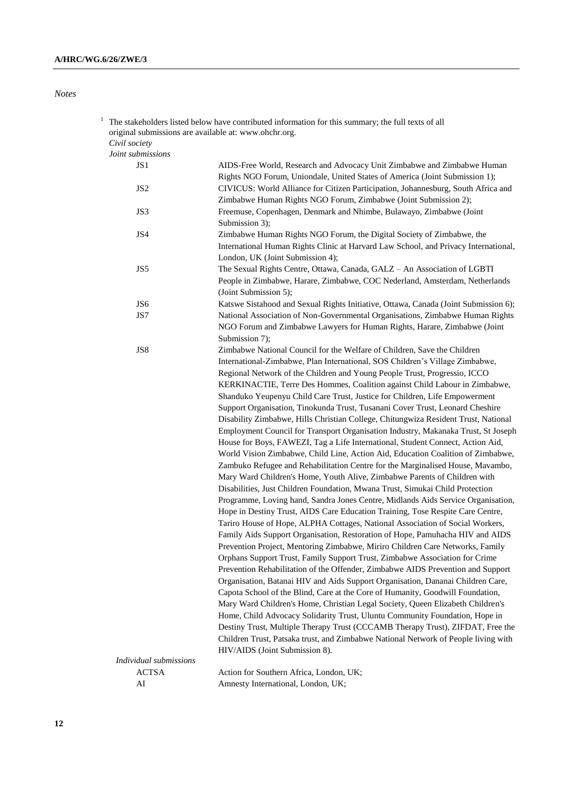*Notes*

| 1 | original submissions are available at: www.ohchr.org.<br>Civil society | The stakeholders listed below have contributed information for this summary; the full texts of all                                                                                                                                                                                                                                                                                                                                                                                                                                                                                                                                                                                                                                                                                                                                                                                                                                                                                                                                                                                                                                                                                                                                                                                                                                                                                                                                                                                                                                                                                                |
|---|------------------------------------------------------------------------|---------------------------------------------------------------------------------------------------------------------------------------------------------------------------------------------------------------------------------------------------------------------------------------------------------------------------------------------------------------------------------------------------------------------------------------------------------------------------------------------------------------------------------------------------------------------------------------------------------------------------------------------------------------------------------------------------------------------------------------------------------------------------------------------------------------------------------------------------------------------------------------------------------------------------------------------------------------------------------------------------------------------------------------------------------------------------------------------------------------------------------------------------------------------------------------------------------------------------------------------------------------------------------------------------------------------------------------------------------------------------------------------------------------------------------------------------------------------------------------------------------------------------------------------------------------------------------------------------|
|   | Joint submissions                                                      |                                                                                                                                                                                                                                                                                                                                                                                                                                                                                                                                                                                                                                                                                                                                                                                                                                                                                                                                                                                                                                                                                                                                                                                                                                                                                                                                                                                                                                                                                                                                                                                                   |
|   | JS 1                                                                   | AIDS-Free World, Research and Advocacy Unit Zimbabwe and Zimbabwe Human<br>Rights NGO Forum, Uniondale, United States of America (Joint Submission 1);                                                                                                                                                                                                                                                                                                                                                                                                                                                                                                                                                                                                                                                                                                                                                                                                                                                                                                                                                                                                                                                                                                                                                                                                                                                                                                                                                                                                                                            |
|   | JS <sub>2</sub>                                                        | CIVICUS: World Alliance for Citizen Participation, Johannesburg, South Africa and<br>Zimbabwe Human Rights NGO Forum, Zimbabwe (Joint Submission 2);                                                                                                                                                                                                                                                                                                                                                                                                                                                                                                                                                                                                                                                                                                                                                                                                                                                                                                                                                                                                                                                                                                                                                                                                                                                                                                                                                                                                                                              |
|   | JS3                                                                    | Freemuse, Copenhagen, Denmark and Nhimbe, Bulawayo, Zimbabwe (Joint<br>Submission 3);                                                                                                                                                                                                                                                                                                                                                                                                                                                                                                                                                                                                                                                                                                                                                                                                                                                                                                                                                                                                                                                                                                                                                                                                                                                                                                                                                                                                                                                                                                             |
|   | JS4                                                                    | Zimbabwe Human Rights NGO Forum, the Digital Society of Zimbabwe, the<br>International Human Rights Clinic at Harvard Law School, and Privacy International,<br>London, UK (Joint Submission 4);                                                                                                                                                                                                                                                                                                                                                                                                                                                                                                                                                                                                                                                                                                                                                                                                                                                                                                                                                                                                                                                                                                                                                                                                                                                                                                                                                                                                  |
|   | JS5                                                                    | The Sexual Rights Centre, Ottawa, Canada, GALZ - An Association of LGBTI<br>People in Zimbabwe, Harare, Zimbabwe, COC Nederland, Amsterdam, Netherlands<br>(Joint Submission 5);                                                                                                                                                                                                                                                                                                                                                                                                                                                                                                                                                                                                                                                                                                                                                                                                                                                                                                                                                                                                                                                                                                                                                                                                                                                                                                                                                                                                                  |
|   | JS6                                                                    | Katswe Sistahood and Sexual Rights Initiative, Ottawa, Canada (Joint Submission 6);                                                                                                                                                                                                                                                                                                                                                                                                                                                                                                                                                                                                                                                                                                                                                                                                                                                                                                                                                                                                                                                                                                                                                                                                                                                                                                                                                                                                                                                                                                               |
|   | JS7                                                                    | National Association of Non-Governmental Organisations, Zimbabwe Human Rights<br>NGO Forum and Zimbabwe Lawyers for Human Rights, Harare, Zimbabwe (Joint<br>Submission 7);                                                                                                                                                                                                                                                                                                                                                                                                                                                                                                                                                                                                                                                                                                                                                                                                                                                                                                                                                                                                                                                                                                                                                                                                                                                                                                                                                                                                                       |
|   |                                                                        | International-Zimbabwe, Plan International, SOS Children's Village Zimbabwe,<br>Regional Network of the Children and Young People Trust, Progressio, ICCO<br>KERKINACTIE, Terre Des Hommes, Coalition against Child Labour in Zimbabwe,<br>Shanduko Yeupenyu Child Care Trust, Justice for Children, Life Empowerment<br>Support Organisation, Tinokunda Trust, Tusanani Cover Trust, Leonard Cheshire<br>Disability Zimbabwe, Hills Christian College, Chitungwiza Resident Trust, National<br>Employment Council for Transport Organisation Industry, Makanaka Trust, St Joseph<br>House for Boys, FAWEZI, Tag a Life International, Student Connect, Action Aid,<br>World Vision Zimbabwe, Child Line, Action Aid, Education Coalition of Zimbabwe,<br>Zambuko Refugee and Rehabilitation Centre for the Marginalised House, Mavambo,<br>Mary Ward Children's Home, Youth Alive, Zimbabwe Parents of Children with<br>Disabilities, Just Children Foundation, Mwana Trust, Simukai Child Protection<br>Programme, Loving hand, Sandra Jones Centre, Midlands Aids Service Organisation,<br>Hope in Destiny Trust, AIDS Care Education Training, Tose Respite Care Centre,<br>Tariro House of Hope, ALPHA Cottages, National Association of Social Workers,<br>Family Aids Support Organisation, Restoration of Hope, Pamuhacha HIV and AIDS<br>Prevention Project, Mentoring Zimbabwe, Miriro Children Care Networks, Family<br>Orphans Support Trust, Family Support Trust, Zimbabwe Association for Crime<br>Prevention Rehabilitation of the Offender, Zimbabwe AIDS Prevention and Support |
|   |                                                                        | Organisation, Batanai HIV and Aids Support Organisation, Dananai Children Care,<br>Capota School of the Blind, Care at the Core of Humanity, Goodwill Foundation,<br>Mary Ward Children's Home, Christian Legal Society, Queen Elizabeth Children's<br>Home, Child Advocacy Solidarity Trust, Uluntu Community Foundation, Hope in<br>Destiny Trust, Multiple Therapy Trust (CCCAMB Therapy Trust), ZIFDAT, Free the<br>Children Trust, Patsaka trust, and Zimbabwe National Network of People living with<br>HIV/AIDS (Joint Submission 8).                                                                                                                                                                                                                                                                                                                                                                                                                                                                                                                                                                                                                                                                                                                                                                                                                                                                                                                                                                                                                                                      |
|   | Individual submissions                                                 |                                                                                                                                                                                                                                                                                                                                                                                                                                                                                                                                                                                                                                                                                                                                                                                                                                                                                                                                                                                                                                                                                                                                                                                                                                                                                                                                                                                                                                                                                                                                                                                                   |
|   | ACTSA                                                                  | Action for Southern Africa, London, UK;                                                                                                                                                                                                                                                                                                                                                                                                                                                                                                                                                                                                                                                                                                                                                                                                                                                                                                                                                                                                                                                                                                                                                                                                                                                                                                                                                                                                                                                                                                                                                           |
|   | AI                                                                     | Amnesty International, London, UK;                                                                                                                                                                                                                                                                                                                                                                                                                                                                                                                                                                                                                                                                                                                                                                                                                                                                                                                                                                                                                                                                                                                                                                                                                                                                                                                                                                                                                                                                                                                                                                |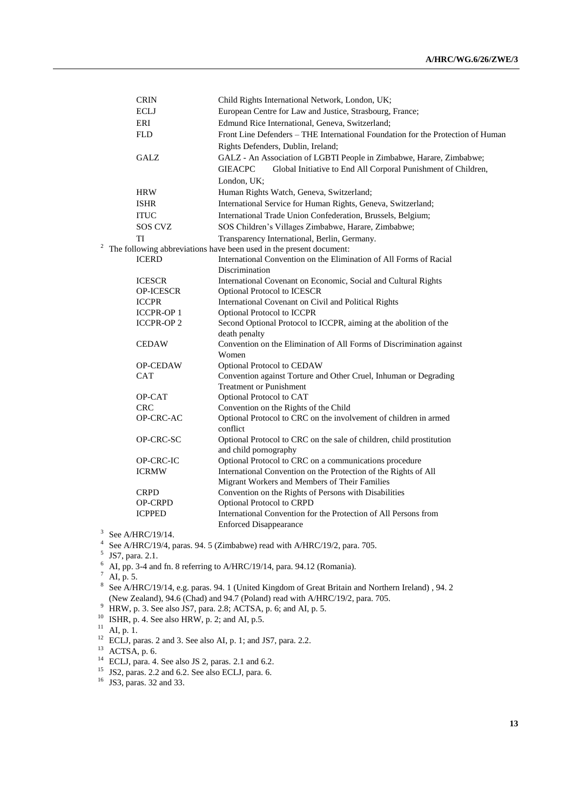|                | <b>CRIN</b>      | Child Rights International Network, London, UK;                                    |
|----------------|------------------|------------------------------------------------------------------------------------|
|                | <b>ECLJ</b>      | European Centre for Law and Justice, Strasbourg, France;                           |
|                | ERI              | Edmund Rice International, Geneva, Switzerland;                                    |
|                | <b>FLD</b>       | Front Line Defenders – THE International Foundation for the Protection of Human    |
|                |                  | Rights Defenders, Dublin, Ireland;                                                 |
|                | <b>GALZ</b>      | GALZ - An Association of LGBTI People in Zimbabwe, Harare, Zimbabwe;               |
|                |                  | <b>GIEACPC</b><br>Global Initiative to End All Corporal Punishment of Children,    |
|                |                  | London, UK;                                                                        |
|                | <b>HRW</b>       | Human Rights Watch, Geneva, Switzerland;                                           |
|                | <b>ISHR</b>      | International Service for Human Rights, Geneva, Switzerland;                       |
|                | <b>ITUC</b>      | International Trade Union Confederation, Brussels, Belgium;                        |
|                | SOS CVZ          | SOS Children's Villages Zimbabwe, Harare, Zimbabwe;                                |
|                | TI               | Transparency International, Berlin, Germany.                                       |
| $\overline{a}$ |                  | The following abbreviations have been used in the present document:                |
|                | <b>ICERD</b>     | International Convention on the Elimination of All Forms of Racial                 |
|                |                  | Discrimination                                                                     |
|                | <b>ICESCR</b>    | International Covenant on Economic, Social and Cultural Rights                     |
|                | <b>OP-ICESCR</b> | Optional Protocol to ICESCR                                                        |
|                | <b>ICCPR</b>     | International Covenant on Civil and Political Rights                               |
|                | <b>ICCPR-OP1</b> | Optional Protocol to ICCPR                                                         |
|                | <b>ICCPR-OP2</b> | Second Optional Protocol to ICCPR, aiming at the abolition of the                  |
|                |                  | death penalty                                                                      |
|                | <b>CEDAW</b>     | Convention on the Elimination of All Forms of Discrimination against               |
|                | <b>OP-CEDAW</b>  | Women<br>Optional Protocol to CEDAW                                                |
|                | <b>CAT</b>       | Convention against Torture and Other Cruel, Inhuman or Degrading                   |
|                |                  | <b>Treatment or Punishment</b>                                                     |
|                | OP-CAT           | Optional Protocol to CAT                                                           |
|                | <b>CRC</b>       | Convention on the Rights of the Child                                              |
|                | OP-CRC-AC        | Optional Protocol to CRC on the involvement of children in armed                   |
|                |                  | conflict                                                                           |
|                | OP-CRC-SC        | Optional Protocol to CRC on the sale of children, child prostitution               |
|                |                  | and child pornography                                                              |
|                | OP-CRC-IC        | Optional Protocol to CRC on a communications procedure                             |
|                | <b>ICRMW</b>     | International Convention on the Protection of the Rights of All                    |
|                | <b>CRPD</b>      | Migrant Workers and Members of Their Families                                      |
|                | <b>OP-CRPD</b>   | Convention on the Rights of Persons with Disabilities<br>Optional Protocol to CRPD |
|                | <b>ICPPED</b>    | International Convention for the Protection of All Persons from                    |
|                |                  | <b>Enforced Disappearance</b>                                                      |
| $\overline{ }$ |                  |                                                                                    |

 $3$  See A/HRC/19/14.

<sup>4</sup> See A/HRC/19/4, paras. 94. 5 (Zimbabwe) read with A/HRC/19/2, para. 705.

<sup>5</sup> JS7, para. 2.1.

<sup>6</sup> AI, pp. 3-4 and fn. 8 referring to A/HRC/19/14, para. 94.12 (Romania).

 $7$  AI, p. 5.

8 See A/HRC/19/14, e.g. paras. 94. 1 (United Kingdom of Great Britain and Northern Ireland) , 94. 2 (New Zealand), 94.6 (Chad) and 94.7 (Poland) read with A/HRC/19/2, para. 705.

HRW, p. 3. See also JS7, para. 2.8; ACTSA, p. 6; and AI, p. 5.

 $10^{10}$  ISHR, p. 4. See also HRW, p. 2; and AI, p.5.

 $^{11}$  AI, p. 1.

<sup>12</sup> ECLJ, paras. 2 and 3. See also AI, p. 1; and JS7, para. 2.2.

 $13$  ACTSA, p. 6.

<sup>14</sup> ECLJ, para. 4. See also JS 2, paras. 2.1 and 6.2.

 $15$  JS2, paras. 2.2 and 6.2. See also ECLJ, para. 6.

<sup>16</sup> JS3, paras. 32 and 33.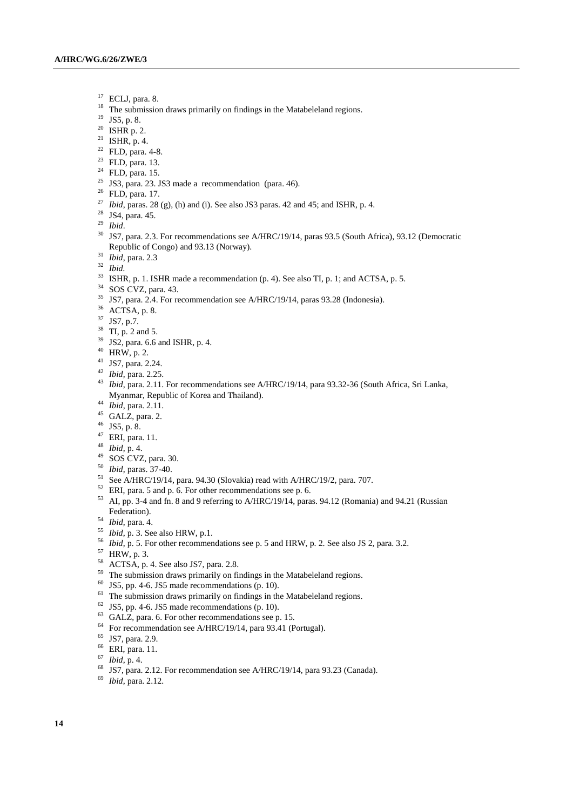- $^{17}$  ECLJ, para. 8.
- The submission draws primarily on findings in the Matabeleland regions.
- JS5, p. 8.
- ISHR p. 2.
- <sup>21</sup> ISHR, p. 4.
- FLD, para. 4-8.
- FLD, para. 13.
- FLD, para. 15.
- <sup>25</sup> JS3, para. 23. JS3 made a recommendation (para. 46).
- FLD, para. 17.
- *Ibid*, paras. 28 (g), (h) and (i). See also JS3 paras. 42 and 45; and ISHR, p. 4.
- JS4, para. 45.
- *Ibid*.
- <sup>30</sup> JS7, para. 2.3. For recommendations see A/HRC/19/14, paras 93.5 (South Africa), 93.12 (Democratic Republic of Congo) and 93.13 (Norway).
- *Ibid*, para. 2.3
- *Ibid.*
- <sup>33</sup> ISHR, p. 1. ISHR made a recommendation (p. 4). See also TI, p. 1; and ACTSA, p. 5.
- SOS CVZ, para. 43.
- JS7, para. 2.4. For recommendation see A/HRC/19/14, paras 93.28 (Indonesia).
- ACTSA, p. 8.
- JS7, p.7.
- TI, p. 2 and 5.
- JS2, para. 6.6 and ISHR, p. 4.
- HRW, p. 2.
- JS7, para. 2.24.
- *Ibid*, para. 2.25.
- *Ibid*, para. 2.11. For recommendations see A/HRC/19/14, para 93.32-36 (South Africa, Sri Lanka, Myanmar, Republic of Korea and Thailand).
- *Ibid*, para. 2.11.
- GALZ, para. 2.
- JS5, p. 8.
- ERI, para. 11.
- *Ibid*, p. 4.
- SOS CVZ, para. 30.
- *Ibid*, paras. 37-40.
- <sup>51</sup> See A/HRC/19/14, para. 94.30 (Slovakia) read with A/HRC/19/2, para. 707.
- ERI, para. 5 and p. 6. For other recommendations see p. 6.
- AI, pp. 3-4 and fn. 8 and 9 referring to A/HRC/19/14, paras. 94.12 (Romania) and 94.21 (Russian Federation).
- *Ibid*, para. 4.
- *Ibid*, p. 3. See also HRW, p.1.
- *Ibid*, p. 5. For other recommendations see p. 5 and HRW, p. 2. See also JS 2, para. 3.2.
- HRW, p. 3.
- ACTSA, p. 4. See also JS7, para. 2.8.
- <sup>59</sup> The submission draws primarily on findings in the Matabeleland regions.
- JS5, pp. 4-6. JS5 made recommendations (p. 10).
- The submission draws primarily on findings in the Matabeleland regions.
- JS5, pp. 4-6. JS5 made recommendations (p. 10).
- GALZ, para. 6. For other recommendations see p. 15.
- For recommendation see A/HRC/19/14, para 93.41 (Portugal).
- JS7, para. 2.9.
- ERI, para. 11.
- $\frac{67}{68}$  *Ibid*, p. 4.
- JS7, para. 2.12. For recommendation see A/HRC/19/14, para 93.23 (Canada).
- *Ibid*, para. 2.12.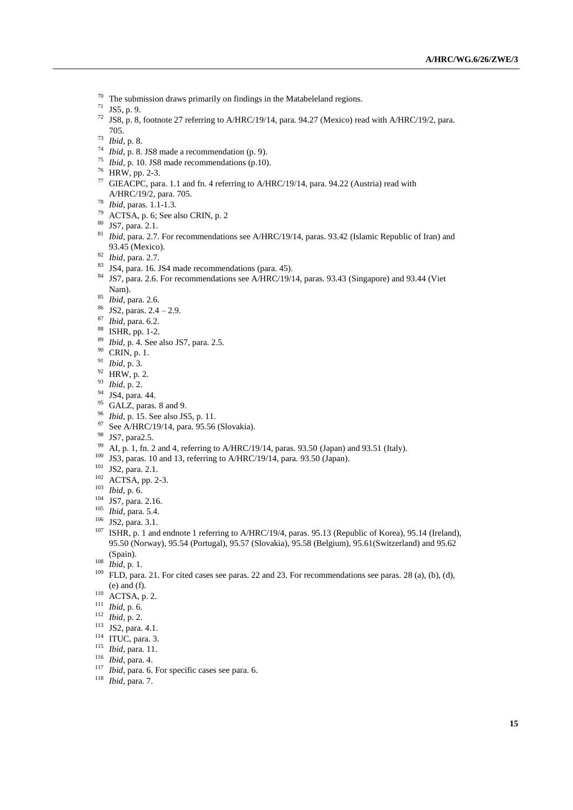- <sup>70</sup> The submission draws primarily on findings in the Matabeleland regions.<br><sup>71</sup> IS5 n 9
- JS5, p. 9.
- JS8, p. 8, footnote 27 referring to A/HRC/19/14, para. 94.27 (Mexico) read with A/HRC/19/2, para. 705.
- *Ibid*, p. 8.
- *Ibid*, p. 8. JS8 made a recommendation (p. 9).
- *Ibid*, p. 10. JS8 made recommendations (p.10).
- HRW, pp. 2-3.
- <sup>77</sup> GIEACPC, para. 1.1 and fn. 4 referring to A/HRC/19/14, para. 94.22 (Austria) read with A/HRC/19/2, para. 705.
- *Ibid*, paras. 1.1-1.3.
- ACTSA, p. 6; See also CRIN, p. 2
- JS7, para. 2.1.
- <sup>81</sup> *Ibid*, para. 2.7. For recommendations see A/HRC/19/14, paras. 93.42 (Islamic Republic of Iran) and 93.45 (Mexico).
- *Ibid*, para. 2.7.
- JS4, para. 16. JS4 made recommendations (para. 45).
- JS7, para. 2.6. For recommendations see A/HRC/19/14, paras. 93.43 (Singapore) and 93.44 (Viet Nam).
- *Ibid*, para. 2.6.
- JS2, paras. 2.4 2.9.
- *Ibid*, para. 6.2.
- ISHR, pp. 1-2.
- *Ibid*, p. 4. See also JS7, para. 2.5.
- CRIN, p. 1.
- *Ibid*, p. 3.
- HRW, p. 2.
- *Ibid*, p. 2.
- $^{94}$  JS4, para. 44.
- GALZ, paras. 8 and 9.
- *Ibid*, p. 15. See also JS5, p. 11.
- <sup>97</sup> See A/HRC/19/14, para. 95.56 (Slovakia).
- JS7, para2.5.
- <sup>99</sup> AI, p. 1, fn. 2 and 4, referring to A/HRC/19/14, paras. 93.50 (Japan) and 93.51 (Italy).
- JS3, paras. 10 and 13, referring to A/HRC/19/14, para. 93.50 (Japan).
- <sup>101</sup> JS2, para. 2.1.
- ACTSA, pp. 2-3.
- *Ibid*, p. 6.
- JS7, para. 2.16.
- *Ibid*, para. 5.4.
- JS2, para. 3.1.
- ISHR, p. 1 and endnote 1 referring to A/HRC/19/4, paras. 95.13 (Republic of Korea), 95.14 (Ireland), 95.50 (Norway), 95.54 (Portugal), 95.57 (Slovakia), 95.58 (Belgium), 95.61(Switzerland) and 95.62 (Spain).
- *Ibid*, p. 1.
- FLD, para. 21. For cited cases see paras. 22 and 23. For recommendations see paras. 28 (a), (b), (d), (e) and (f).
- ACTSA, p. 2.
- *Ibid*, p. 6.
- *Ibid*, p. 2.
- <sup>113</sup> JS2, para. 4.1.
- <sup>114</sup> ITUC, para. 3.
- *Ibid*, para. 11.
- *Ibid*, para. 4.
- 
- *Ibid*, para. 6. For specific cases see para. 6.
- *Ibid*, para. 7.